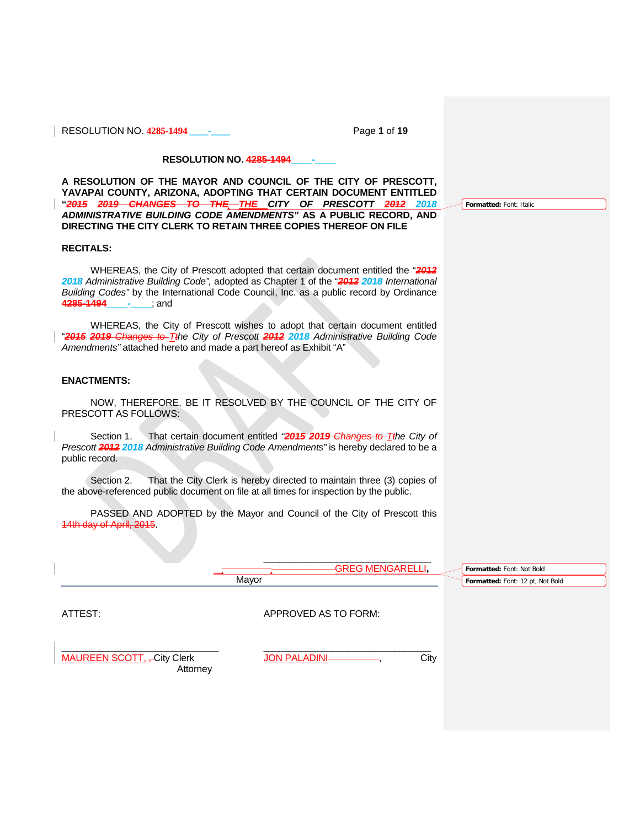RESOLUTION NO. **4285-1494 \_\_\_\_-\_\_\_\_** Page **1** of **19**

**Formatted:** Font: Italic

## **RESOLUTION NO. 4285-1494\_\_\_\_-\_\_\_\_**

**A RESOLUTION OF THE MAYOR AND COUNCIL OF THE CITY OF PRESCOTT, YAVAPAI COUNTY, ARIZONA, ADOPTING THAT CERTAIN DOCUMENT ENTITLED "***2015 2019 CHANGES TO THE THE CITY OF PRESCOTT 2012 2018 ADMINISTRATIVE BUILDING CODE AMENDMENTS"* **AS A PUBLIC RECORD, AND DIRECTING THE CITY CLERK TO RETAIN THREE COPIES THEREOF ON FILE**

## **RECITALS:**

WHEREAS, the City of Prescott adopted that certain document entitled the "*2012 2018 Administrative Building Code",* adopted as Chapter 1 of the "*2012 2018 International Building Codes"* by the International Code Council, Inc. as a public record by Ordinance **4285-1494\_\_\_\_-\_\_\_\_**; and

WHEREAS, the City of Prescott wishes to adopt that certain document entitled "*2015 2019 Changes to Tthe City of Prescott 2012 2018 Administrative Building Code Amendments"* attached hereto and made a part hereof as Exhibit "A"

## **ENACTMENTS:**

NOW, THEREFORE, BE IT RESOLVED BY THE COUNCIL OF THE CITY OF PRESCOTT AS FOLLOWS:

Section 1. That certain document entitled *"2015 2019 Changes to Tthe City of Prescott 2012 2018 Administrative Building Code Amendments"* is hereby declared to be a public record.

Section 2. That the City Clerk is hereby directed to maintain three (3) copies of the above-referenced public document on file at all times for inspection by the public.

PASSED AND ADOPTED by the Mayor and Council of the City of Prescott this 14th day of April, 2015.



Attorney

MAUREEN SCOTT, -City Clerk JON PALADINI , City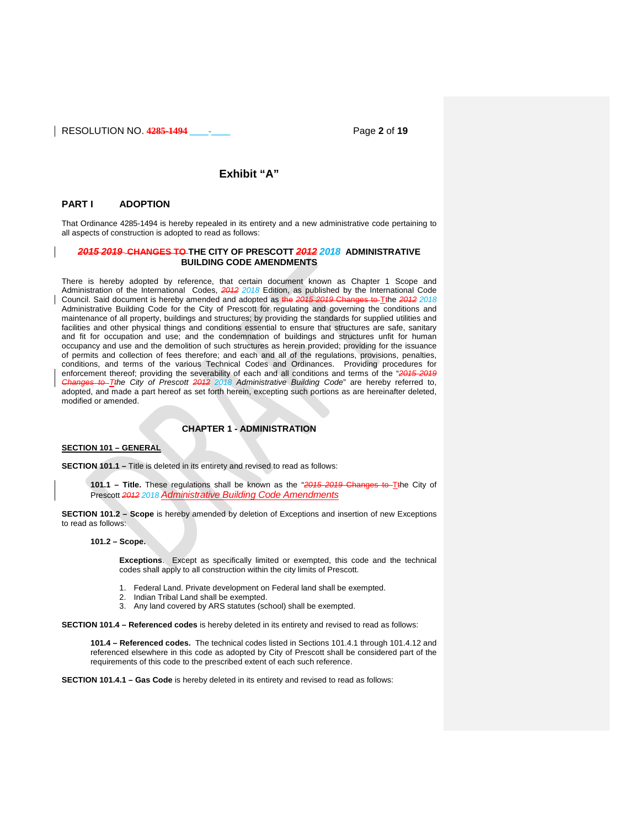

# **Exhibit "A"**

### **PART I ADOPTION**

That Ordinance 4285-1494 is hereby repealed in its entirety and a new administrative code pertaining to all aspects of construction is adopted to read as follows:

## *2015 2019* **CHANGES TO THE CITY OF PRESCOTT** *2012 2018* **ADMINISTRATIVE BUILDING CODE AMENDMENTS**

There is hereby adopted by reference, that certain document known as Chapter 1 Scope and Administration of the International Codes, *2012 2018* Edition, as published by the International Code Council. Said document is hereby amended and adopted as the *2015 2019* Changes to Tthe *2012 2018* Administrative Building Code for the City of Prescott for regulating and governing the conditions and maintenance of all property, buildings and structures; by providing the standards for supplied utilities and facilities and other physical things and conditions essential to ensure that structures are safe, sanitary and fit for occupation and use; and the condemnation of buildings and structures unfit for human occupancy and use and the demolition of such structures as herein provided; providing for the issuance of permits and collection of fees therefore; and each and all of the regulations, provisions, penalties, conditions, and terms of the various Technical Codes and Ordinances. Providing procedures for enforcement thereof; providing the severability of each and all conditions and terms of the "*2015 2019 Changes to Tthe City of Prescott 2012 2018 Administrative Building Code*" are hereby referred to, adopted, and made a part hereof as set forth herein, excepting such portions as are hereinafter deleted, modified or amended.

# **CHAPTER 1 - ADMINISTRATION**

## **SECTION 101 – GENERAL**

**SECTION 101.1 –** Title is deleted in its entirety and revised to read as follows:

**101.1 – Title.** These regulations shall be known as the "*2015 2019* Changes to Tthe City of Prescott *2012 2018 Administrative Building Code Amendments*

**SECTION 101.2 – Scope** is hereby amended by deletion of Exceptions and insertion of new Exceptions to read as follows:

## **101.2 – Scope.**

**Exceptions**. Except as specifically limited or exempted, this code and the technical codes shall apply to all construction within the city limits of Prescott.

1. Federal Land. Private development on Federal land shall be exempted.

- 2. Indian Tribal Land shall be exempted.
- 3. Any land covered by ARS statutes (school) shall be exempted.

**SECTION 101.4 – Referenced codes** is hereby deleted in its entirety and revised to read as follows:

**101.4 – Referenced codes.** The technical codes listed in Sections 101.4.1 through 101.4.12 and referenced elsewhere in this code as adopted by City of Prescott shall be considered part of the requirements of this code to the prescribed extent of each such reference.

**SECTION 101.4.1 – Gas Code** is hereby deleted in its entirety and revised to read as follows: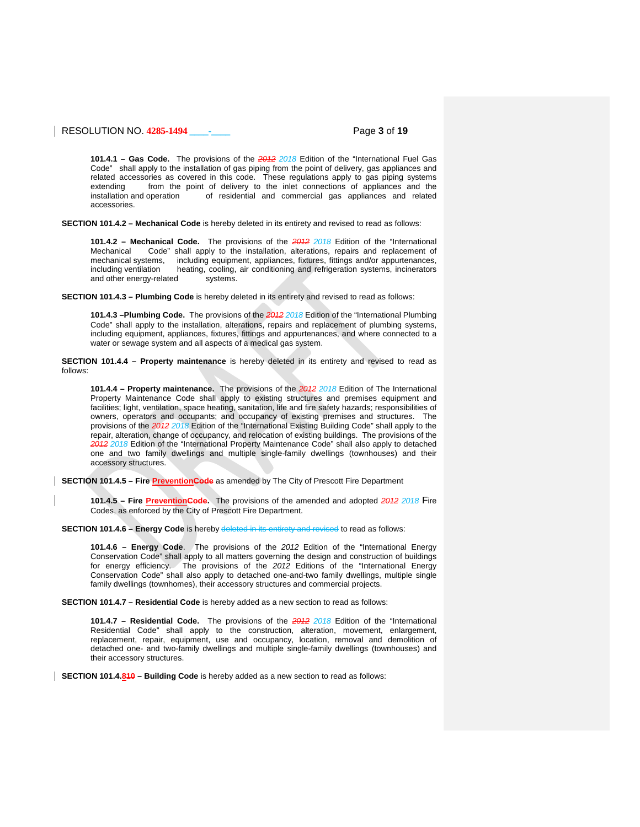## RESOLUTION NO. **4285-1494 \_\_\_\_-\_\_\_\_** Page **3** of **19**

**101.4.1 – Gas Code.** The provisions of the *2012 2018* Edition of the "International Fuel Gas Code" shall apply to the installation of gas piping from the point of delivery, gas appliances and related accessories as covered in this code. These regulations apply to gas piping systems extending from the point of delivery to the inlet connections of appliances and the installation and operation of residential and commercial gas appliances and related of residential and commercial gas appliances and related accessories.

**SECTION 101.4.2 – Mechanical Code** is hereby deleted in its entirety and revised to read as follows:

**101.4.2 – Mechanical Code.** The provisions of the *2012 2018* Edition of the "International Code" shall apply to the installation, alterations, repairs and replacement of mechanical systems, including equipment, appliances, fixtures, fittings and/or appurtenances, including ventilation heating, cooling, air conditioning and refrigeration systems, incinerators heating, cooling, air conditioning and refrigeration systems, incinerators<br>d systems. and other energy-related

**SECTION 101.4.3 – Plumbing Code** is hereby deleted in its entirety and revised to read as follows:

**101.4.3 –Plumbing Code.** The provisions of the *2012 2018* Edition of the "International Plumbing Code" shall apply to the installation, alterations, repairs and replacement of plumbing systems, including equipment, appliances, fixtures, fittings and appurtenances, and where connected to a water or sewage system and all aspects of a medical gas system.

**SECTION 101.4.4 – Property maintenance** is hereby deleted in its entirety and revised to read as follows:

**101.4.4 – Property maintenance.** The provisions of the *2012 2018* Edition of The International Property Maintenance Code shall apply to existing structures and premises equipment and facilities; light, ventilation, space heating, sanitation, life and fire safety hazards; responsibilities of owners, operators and occupants; and occupancy of existing premises and structures. The provisions of the *2012 2018* Edition of the "International Existing Building Code" shall apply to the repair, alteration, change of occupancy, and relocation of existing buildings. The provisions of the *2012 2018* Edition of the "International Property Maintenance Code" shall also apply to detached one and two family dwellings and multiple single-family dwellings (townhouses) and their accessory structures.

**SECTION 101.4.5 - Fire <b>PreventionCode** as amended by The City of Prescott Fire Department

**101.4.5 – Fire PreventionCode.** The provisions of the amended and adopted *2012 2018* Fire Codes, as enforced by the City of Prescott Fire Department.

**SECTION 101.4.6 – Energy Code** is hereby deleted in its entirety and revised to read as follows:

**101.4.6 – Energy Code**. The provisions of the *2012* Edition of the "International Energy Conservation Code" shall apply to all matters governing the design and construction of buildings for energy efficiency. The provisions of the *2012* Editions of the "International Energy Conservation Code" shall also apply to detached one-and-two family dwellings, multiple single family dwellings (townhomes), their accessory structures and commercial projects.

**SECTION 101.4.7 – Residential Code** is hereby added as a new section to read as follows:

**101.4.7 – Residential Code.** The provisions of the *2012 2018* Edition of the "International Residential Code" shall apply to the construction, alteration, movement, enlargement, replacement, repair, equipment, use and occupancy, location, removal and demolition of detached one- and two-family dwellings and multiple single-family dwellings (townhouses) and their accessory structures.

**SECTION 101.4.810 – Building Code** is hereby added as a new section to read as follows: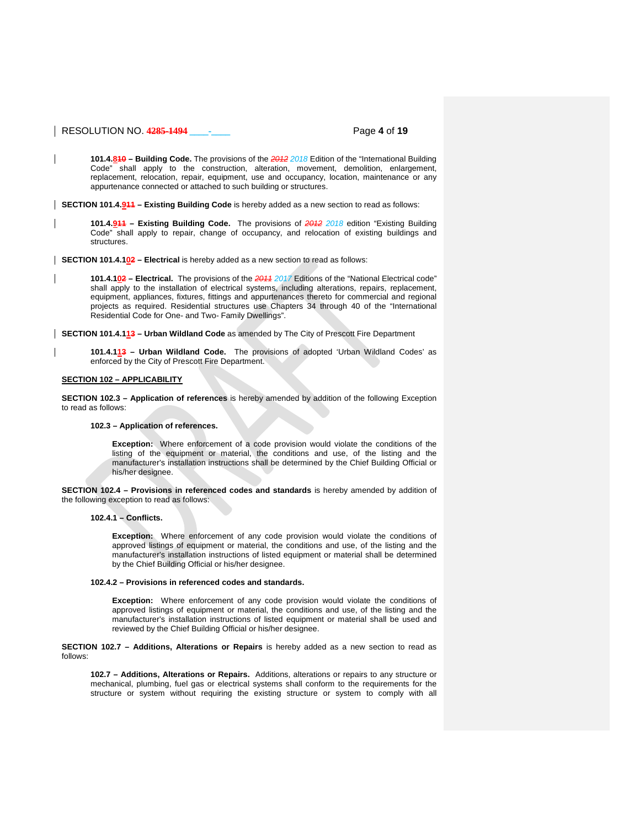## RESOLUTION NO. **4285-1494 \_\_\_\_-\_\_\_\_** Page **4** of **19**

**101.4.810 – Building Code.** The provisions of the *2012 2018* Edition of the "International Building Code" shall apply to the construction, alteration, movement, demolition, enlargement, replacement, relocation, repair, equipment, use and occupancy, location, maintenance or any appurtenance connected or attached to such building or structures.

**SECTION 101.4.911 – Existing Building Code** is hereby added as a new section to read as follows:

**101.4.911 – Existing Building Code.** The provisions of *2012 2018* edition "Existing Building Code" shall apply to repair, change of occupancy, and relocation of existing buildings and structures.

**SECTION 101.4.102 – Electrical** is hereby added as a new section to read as follows:

**101.4.102 – Electrical.** The provisions of the *2011 2017* Editions of the "National Electrical code" shall apply to the installation of electrical systems, including alterations, repairs, replacement, equipment, appliances, fixtures, fittings and appurtenances thereto for commercial and regional projects as required. Residential structures use Chapters 34 through 40 of the "International Residential Code for One- and Two- Family Dwellings".

**SECTION 101.4.113 – Urban Wildland Code** as amended by The City of Prescott Fire Department

**101.4.113 – Urban Wildland Code.** The provisions of adopted 'Urban Wildland Codes' as enforced by the City of Prescott Fire Department.

### **SECTION 102 – APPLICABILITY**

**SECTION 102.3 – Application of references** is hereby amended by addition of the following Exception to read as follows:

### **102.3 – Application of references.**

**Exception:** Where enforcement of a code provision would violate the conditions of the listing of the equipment or material, the conditions and use, of the listing and the manufacturer's installation instructions shall be determined by the Chief Building Official or his/her designee.

**SECTION 102.4 – Provisions in referenced codes and standards** is hereby amended by addition of the following exception to read as follows:

### **102.4.1 – Conflicts.**

**Exception:** Where enforcement of any code provision would violate the conditions of approved listings of equipment or material, the conditions and use, of the listing and the manufacturer's installation instructions of listed equipment or material shall be determined by the Chief Building Official or his/her designee.

### **102.4.2 – Provisions in referenced codes and standards.**

**Exception:** Where enforcement of any code provision would violate the conditions of approved listings of equipment or material, the conditions and use, of the listing and the manufacturer's installation instructions of listed equipment or material shall be used and reviewed by the Chief Building Official or his/her designee.

**SECTION 102.7 – Additions, Alterations or Repairs** is hereby added as a new section to read as follows:

**102.7 – Additions, Alterations or Repairs.** Additions, alterations or repairs to any structure or mechanical, plumbing, fuel gas or electrical systems shall conform to the requirements for the structure or system without requiring the existing structure or system to comply with all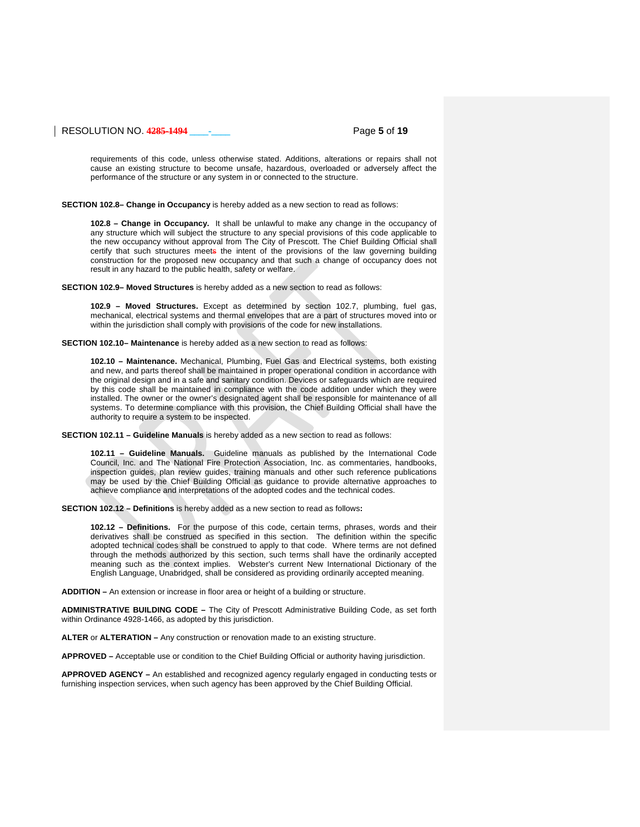## RESOLUTION NO. **4285-1494 \_\_\_\_-\_\_\_\_** Page **5** of **19**

requirements of this code, unless otherwise stated. Additions, alterations or repairs shall not cause an existing structure to become unsafe, hazardous, overloaded or adversely affect the performance of the structure or any system in or connected to the structure.

**SECTION 102.8– Change in Occupancy** is hereby added as a new section to read as follows:

**102.8 – Change in Occupancy.** It shall be unlawful to make any change in the occupancy of any structure which will subject the structure to any special provisions of this code applicable to the new occupancy without approval from The City of Prescott. The Chief Building Official shall certify that such structures meets the intent of the provisions of the law governing building construction for the proposed new occupancy and that such a change of occupancy does not result in any hazard to the public health, safety or welfare.

**SECTION 102.9– Moved Structures** is hereby added as a new section to read as follows:

**102.9 – Moved Structures.** Except as determined by section 102.7, plumbing, fuel gas, mechanical, electrical systems and thermal envelopes that are a part of structures moved into or within the jurisdiction shall comply with provisions of the code for new installations.

**SECTION 102.10– Maintenance** is hereby added as a new section to read as follows:

**102.10 – Maintenance.** Mechanical, Plumbing, Fuel Gas and Electrical systems, both existing and new, and parts thereof shall be maintained in proper operational condition in accordance with the original design and in a safe and sanitary condition. Devices or safeguards which are required by this code shall be maintained in compliance with the code addition under which they were installed. The owner or the owner's designated agent shall be responsible for maintenance of all systems. To determine compliance with this provision, the Chief Building Official shall have the authority to require a system to be inspected.

**SECTION 102.11 – Guideline Manuals** is hereby added as a new section to read as follows:

**102.11 – Guideline Manuals.** Guideline manuals as published by the International Code Council, Inc. and The National Fire Protection Association, Inc. as commentaries, handbooks, inspection guides, plan review guides, training manuals and other such reference publications may be used by the Chief Building Official as guidance to provide alternative approaches to achieve compliance and interpretations of the adopted codes and the technical codes.

**SECTION 102.12 – Definitions** is hereby added as a new section to read as follows**:**

**102.12 – Definitions.** For the purpose of this code, certain terms, phrases, words and their derivatives shall be construed as specified in this section. The definition within the specific adopted technical codes shall be construed to apply to that code. Where terms are not defined through the methods authorized by this section, such terms shall have the ordinarily accepted meaning such as the context implies. Webster's current New International Dictionary of the English Language, Unabridged, shall be considered as providing ordinarily accepted meaning.

**ADDITION –** An extension or increase in floor area or height of a building or structure.

**ADMINISTRATIVE BUILDING CODE –** The City of Prescott Administrative Building Code, as set forth within Ordinance 4928-1466, as adopted by this jurisdiction.

**ALTER** or **ALTERATION –** Any construction or renovation made to an existing structure.

**APPROVED –** Acceptable use or condition to the Chief Building Official or authority having jurisdiction.

**APPROVED AGENCY –** An established and recognized agency regularly engaged in conducting tests or furnishing inspection services, when such agency has been approved by the Chief Building Official.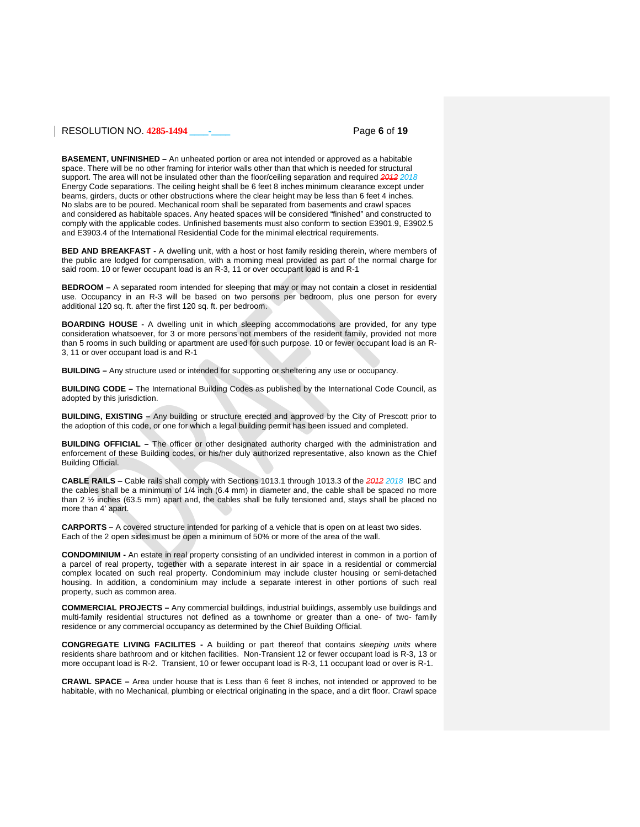### RESOLUTION NO. **4285-1494 \_\_\_\_-\_\_\_\_** Page **6** of **19**

**BASEMENT, UNFINISHED –** An unheated portion or area not intended or approved as a habitable space. There will be no other framing for interior walls other than that which is needed for structural support. The area will not be insulated other than the floor/ceiling separation and required *2012 2018* Energy Code separations. The ceiling height shall be 6 feet 8 inches minimum clearance except under beams, girders, ducts or other obstructions where the clear height may be less than 6 feet 4 inches. No slabs are to be poured. Mechanical room shall be separated from basements and crawl spaces and considered as habitable spaces. Any heated spaces will be considered "finished" and constructed to comply with the applicable codes. Unfinished basements must also conform to section E3901.9, E3902.5 and E3903.4 of the International Residential Code for the minimal electrical requirements.

**BED AND BREAKFAST -** A dwelling unit, with a host or host family residing therein, where members of the public are lodged for compensation, with a morning meal provided as part of the normal charge for said room. 10 or fewer occupant load is an R-3, 11 or over occupant load is and R-1

**BEDROOM –** A separated room intended for sleeping that may or may not contain a closet in residential use. Occupancy in an R-3 will be based on two persons per bedroom, plus one person for every additional 120 sq. ft. after the first 120 sq. ft. per bedroom.

**BOARDING HOUSE -** A dwelling unit in which sleeping accommodations are provided, for any type consideration whatsoever, for 3 or more persons not members of the resident family, provided not more than 5 rooms in such building or apartment are used for such purpose. 10 or fewer occupant load is an R-3, 11 or over occupant load is and R-1

**BUILDING –** Any structure used or intended for supporting or sheltering any use or occupancy.

**BUILDING CODE –** The International Building Codes as published by the International Code Council, as adopted by this jurisdiction.

**BUILDING, EXISTING –** Any building or structure erected and approved by the City of Prescott prior to the adoption of this code, or one for which a legal building permit has been issued and completed.

**BUILDING OFFICIAL –** The officer or other designated authority charged with the administration and enforcement of these Building codes, or his/her duly authorized representative, also known as the Chief Building Official.

**CABLE RAILS** – Cable rails shall comply with Sections 1013.1 through 1013.3 of the *2012 2018* IBC and the cables shall be a minimum of 1/4 inch (6.4 mm) in diameter and, the cable shall be spaced no more than 2 ½ inches (63.5 mm) apart and, the cables shall be fully tensioned and, stays shall be placed no more than 4' apart.

**CARPORTS –** A covered structure intended for parking of a vehicle that is open on at least two sides. Each of the 2 open sides must be open a minimum of 50% or more of the area of the wall.

**CONDOMINIUM -** An estate in real property consisting of an undivided interest in common in a portion of a parcel of real property, together with a separate interest in air space in a residential or commercial complex located on such real property. Condominium may include cluster housing or semi-detached housing. In addition, a condominium may include a separate interest in other portions of such real property, such as common area.

**COMMERCIAL PROJECTS –** Any commercial buildings, industrial buildings, assembly use buildings and multi-family residential structures not defined as a townhome or greater than a one- of two- family residence or any commercial occupancy as determined by the Chief Building Official.

**CONGREGATE LIVING FACILITES -** A building or part thereof that contains *sleeping units* where residents share bathroom and or kitchen facilities. Non-Transient 12 or fewer occupant load is R-3, 13 or more occupant load is R-2. Transient, 10 or fewer occupant load is R-3, 11 occupant load or over is R-1.

**CRAWL SPACE –** Area under house that is Less than 6 feet 8 inches, not intended or approved to be habitable, with no Mechanical, plumbing or electrical originating in the space, and a dirt floor. Crawl space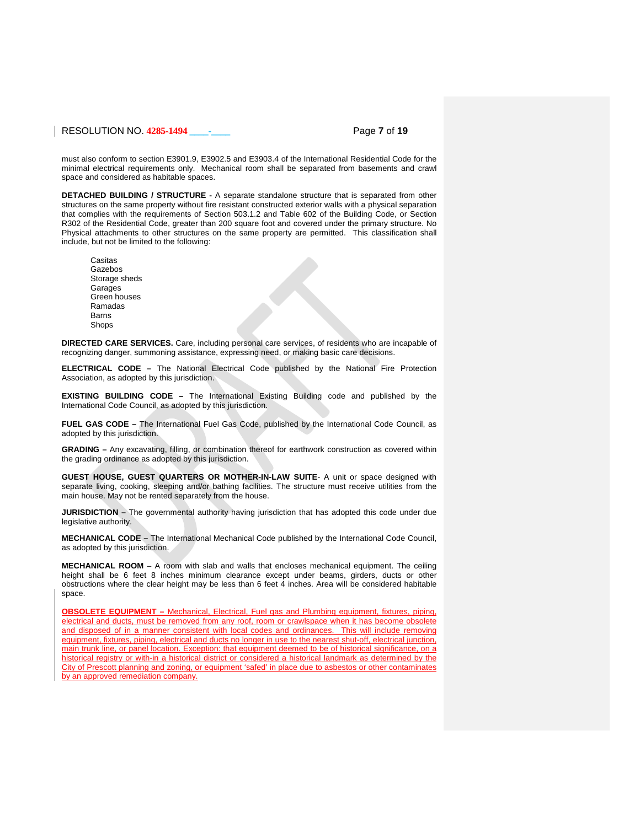## RESOLUTION NO. **4285-1494 \_\_\_\_-\_\_\_\_** Page **7** of **19**

must also conform to section E3901.9, E3902.5 and E3903.4 of the International Residential Code for the minimal electrical requirements only. Mechanical room shall be separated from basements and crawl space and considered as habitable spaces.

**DETACHED BUILDING / STRUCTURE -** A separate standalone structure that is separated from other structures on the same property without fire resistant constructed exterior walls with a physical separation that complies with the requirements of Section 503.1.2 and Table 602 of the Building Code, or Section R302 of the Residential Code, greater than 200 square foot and covered under the primary structure. No Physical attachments to other structures on the same property are permitted. This classification shall include, but not be limited to the following:

Casitas Gazebos Storage sheds **Garages** Green houses Ramadas **Barns** Shops

**DIRECTED CARE SERVICES.** Care, including personal care services, of residents who are incapable of recognizing danger, summoning assistance, expressing need, or making basic care decisions.

**ELECTRICAL CODE –** The National Electrical Code published by the National Fire Protection Association, as adopted by this jurisdiction.

**EXISTING BUILDING CODE –** The International Existing Building code and published by the International Code Council, as adopted by this jurisdiction.

**FUEL GAS CODE –** The International Fuel Gas Code, published by the International Code Council, as adopted by this jurisdiction.

**GRADING –** Any excavating, filling, or combination thereof for earthwork construction as covered within the grading ordinance as adopted by this jurisdiction.

**GUEST HOUSE, GUEST QUARTERS OR MOTHER-IN-LAW SUITE**- A unit or space designed with separate living, cooking, sleeping and/or bathing facilities. The structure must receive utilities from the main house. May not be rented separately from the house.

**JURISDICTION –** The governmental authority having jurisdiction that has adopted this code under due legislative authority.

**MECHANICAL CODE –** The International Mechanical Code published by the International Code Council, as adopted by this jurisdiction.

**MECHANICAL ROOM** – A room with slab and walls that encloses mechanical equipment. The ceiling height shall be 6 feet 8 inches minimum clearance except under beams, girders, ducts or other obstructions where the clear height may be less than 6 feet 4 inches. Area will be considered habitable space.

**OBSOLETE EQUIPMENT –** Mechanical, Electrical, Fuel gas and Plumbing equipment, fixtures, piping, electrical and ducts, must be removed from any roof, room or crawlspace when it has become obsolete and disposed of in a manner consistent with local codes and ordinances. This will include removing equipment, fixtures, piping, electrical and ducts no longer in use to the nearest shut-off, electrical junction, main trunk line, or panel location. Exception: that equipment deemed to be of historical significance, on a historical registry or with-in a historical district or considered a historical landmark as determined by the City of Prescott planning and zoning, or equipment 'safed' in place due to asbestos or other contaminates by an approved remediation company.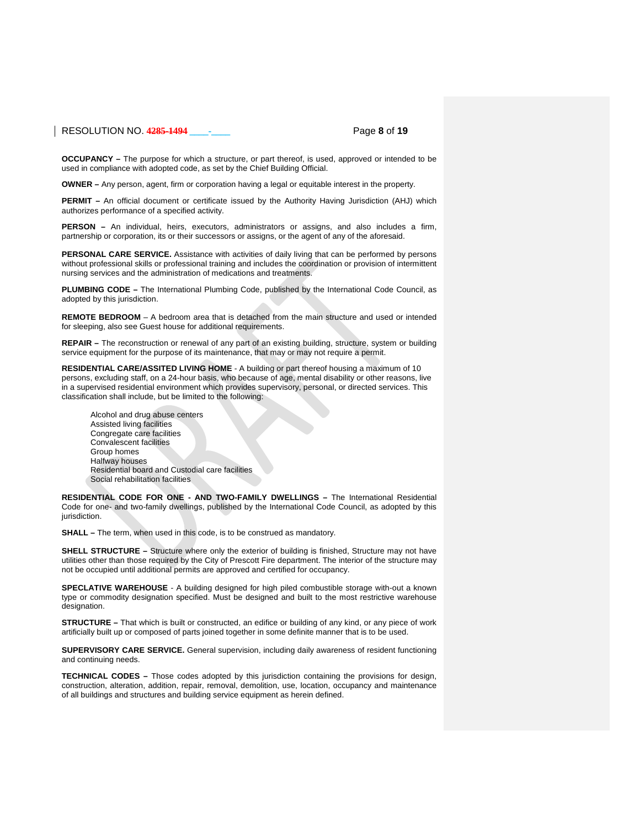## RESOLUTION NO. **4285-1494 \_\_\_\_-\_\_\_\_** Page **8** of **19**

**OCCUPANCY –** The purpose for which a structure, or part thereof, is used, approved or intended to be used in compliance with adopted code, as set by the Chief Building Official.

**OWNER –** Any person, agent, firm or corporation having a legal or equitable interest in the property.

**PERMIT –** An official document or certificate issued by the Authority Having Jurisdiction (AHJ) which authorizes performance of a specified activity.

**PERSON –** An individual, heirs, executors, administrators or assigns, and also includes a firm, partnership or corporation, its or their successors or assigns, or the agent of any of the aforesaid.

**PERSONAL CARE SERVICE.** Assistance with activities of daily living that can be performed by persons without professional skills or professional training and includes the coordination or provision of intermittent nursing services and the administration of medications and treatments.

**PLUMBING CODE –** The International Plumbing Code, published by the International Code Council, as adopted by this jurisdiction.

**REMOTE BEDROOM** – A bedroom area that is detached from the main structure and used or intended for sleeping, also see Guest house for additional requirements.

**REPAIR –** The reconstruction or renewal of any part of an existing building, structure, system or building service equipment for the purpose of its maintenance, that may or may not require a permit.

**RESIDENTIAL CARE/ASSITED LIVING HOME** - A building or part thereof housing a maximum of 10 persons, excluding staff, on a 24-hour basis, who because of age, mental disability or other reasons, live in a supervised residential environment which provides supervisory, personal, or directed services. This classification shall include, but be limited to the following:

Alcohol and drug abuse centers Assisted living facilities Congregate care facilities Convalescent facilities Group homes Halfway houses Residential board and Custodial care facilities Social rehabilitation facilities

**RESIDENTIAL CODE FOR ONE - AND TWO-FAMILY DWELLINGS –** The International Residential Code for one- and two-family dwellings, published by the International Code Council, as adopted by this jurisdiction.

**SHALL –** The term, when used in this code, is to be construed as mandatory.

**SHELL STRUCTURE –** Structure where only the exterior of building is finished, Structure may not have utilities other than those required by the City of Prescott Fire department. The interior of the structure may not be occupied until additional permits are approved and certified for occupancy.

**SPECLATIVE WAREHOUSE** - A building designed for high piled combustible storage with-out a known type or commodity designation specified. Must be designed and built to the most restrictive warehouse designation.

**STRUCTURE –** That which is built or constructed, an edifice or building of any kind, or any piece of work artificially built up or composed of parts joined together in some definite manner that is to be used.

**SUPERVISORY CARE SERVICE.** General supervision, including daily awareness of resident functioning and continuing needs.

**TECHNICAL CODES –** Those codes adopted by this jurisdiction containing the provisions for design, construction, alteration, addition, repair, removal, demolition, use, location, occupancy and maintenance of all buildings and structures and building service equipment as herein defined.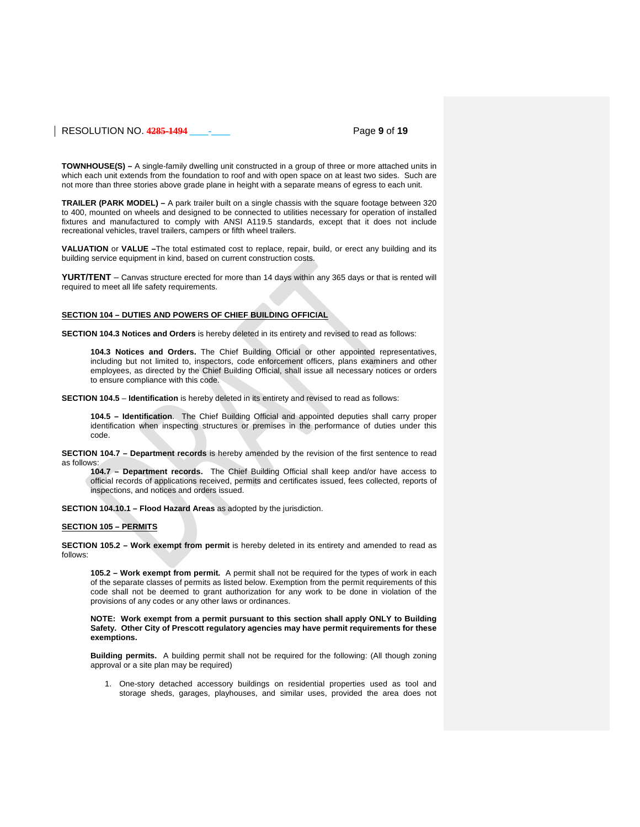## RESOLUTION NO. **4285-1494 \_\_\_\_-\_\_\_\_** Page **9** of **19**

**TOWNHOUSE(S) –** A single-family dwelling unit constructed in a group of three or more attached units in which each unit extends from the foundation to roof and with open space on at least two sides. Such are not more than three stories above grade plane in height with a separate means of egress to each unit.

**TRAILER (PARK MODEL) –** A park trailer built on a single chassis with the square footage between 320 to 400, mounted on wheels and designed to be connected to utilities necessary for operation of installed fixtures and manufactured to comply with ANSI A119.5 standards, except that it does not include recreational vehicles, travel trailers, campers or fifth wheel trailers.

**VALUATION** or **VALUE –**The total estimated cost to replace, repair, build, or erect any building and its building service equipment in kind, based on current construction costs.

**YURT/TENT** – Canvas structure erected for more than 14 days within any 365 days or that is rented will required to meet all life safety requirements.

### **SECTION 104 – DUTIES AND POWERS OF CHIEF BUILDING OFFICIAL**

**SECTION 104.3 Notices and Orders** is hereby deleted in its entirety and revised to read as follows:

**104.3 Notices and Orders.** The Chief Building Official or other appointed representatives, including but not limited to, inspectors, code enforcement officers, plans examiners and other employees, as directed by the Chief Building Official, shall issue all necessary notices or orders to ensure compliance with this code.

**SECTION 104.5** – **Identification** is hereby deleted in its entirety and revised to read as follows:

**104.5 – Identification**. The Chief Building Official and appointed deputies shall carry proper identification when inspecting structures or premises in the performance of duties under this code.

**SECTION 104.7 – Department records** is hereby amended by the revision of the first sentence to read as follows:

**104.7 – Department records.** The Chief Building Official shall keep and/or have access to official records of applications received, permits and certificates issued, fees collected, reports of inspections, and notices and orders issued.

**SECTION 104.10.1 – Flood Hazard Areas** as adopted by the jurisdiction.

## **SECTION 105 – PERMITS**

**SECTION 105.2 – Work exempt from permit** is hereby deleted in its entirety and amended to read as follows:

**105.2 – Work exempt from permit.** A permit shall not be required for the types of work in each of the separate classes of permits as listed below. Exemption from the permit requirements of this code shall not be deemed to grant authorization for any work to be done in violation of the provisions of any codes or any other laws or ordinances.

**NOTE: Work exempt from a permit pursuant to this section shall apply ONLY to Building Safety. Other City of Prescott regulatory agencies may have permit requirements for these exemptions.**

**Building permits.** A building permit shall not be required for the following: (All though zoning approval or a site plan may be required)

1. One-story detached accessory buildings on residential properties used as tool and storage sheds, garages, playhouses, and similar uses, provided the area does not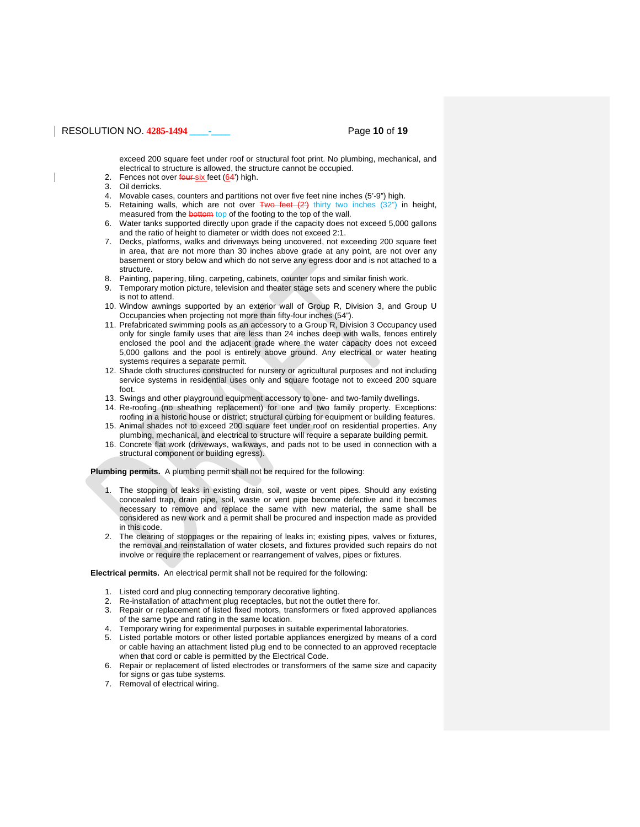## RESOLUTION NO. **4285-1494 \_\_\_\_-\_\_\_\_** Page **10** of **19**

exceed 200 square feet under roof or structural foot print. No plumbing, mechanical, and electrical to structure is allowed, the structure cannot be occupied.

- 2. Fences not over four six feet  $(64')$  high.
- 3. Oil derricks.
- 4. Movable cases, counters and partitions not over five feet nine inches (5'-9") high.
- 5. Retaining walls, which are not over  $Two$  feet  $(2^x)$  thirty two inches  $(32^y)$  in height, measured from the **bottom** top of the footing to the top of the wall.
- 6. Water tanks supported directly upon grade if the capacity does not exceed 5,000 gallons and the ratio of height to diameter or width does not exceed 2:1.
- 7. Decks, platforms, walks and driveways being uncovered, not exceeding 200 square feet in area, that are not more than 30 inches above grade at any point, are not over any basement or story below and which do not serve any egress door and is not attached to a structure.
- 8. Painting, papering, tiling, carpeting, cabinets, counter tops and similar finish work.
- 9. Temporary motion picture, television and theater stage sets and scenery where the public is not to attend.
- 10. Window awnings supported by an exterior wall of Group R, Division 3, and Group U Occupancies when projecting not more than fifty-four inches (54").
- 11. Prefabricated swimming pools as an accessory to a Group R, Division 3 Occupancy used only for single family uses that are less than 24 inches deep with walls, fences entirely enclosed the pool and the adjacent grade where the water capacity does not exceed 5,000 gallons and the pool is entirely above ground. Any electrical or water heating systems requires a separate permit.
- 12. Shade cloth structures constructed for nursery or agricultural purposes and not including service systems in residential uses only and square footage not to exceed 200 square foot.
- 13. Swings and other playground equipment accessory to one- and two-family dwellings.
- 14. Re-roofing (no sheathing replacement) for one and two family property. Exceptions: roofing in a historic house or district; structural curbing for equipment or building features.
- 15. Animal shades not to exceed 200 square feet under roof on residential properties. Any plumbing, mechanical, and electrical to structure will require a separate building permit.
- 16. Concrete flat work (driveways, walkways, and pads not to be used in connection with a structural component or building egress).

**Plumbing permits.** A plumbing permit shall not be required for the following:

- 1. The stopping of leaks in existing drain, soil, waste or vent pipes. Should any existing concealed trap, drain pipe, soil, waste or vent pipe become defective and it becomes necessary to remove and replace the same with new material, the same shall be considered as new work and a permit shall be procured and inspection made as provided in this code.
- 2. The clearing of stoppages or the repairing of leaks in; existing pipes, valves or fixtures, the removal and reinstallation of water closets, and fixtures provided such repairs do not involve or require the replacement or rearrangement of valves, pipes or fixtures.

**Electrical permits.** An electrical permit shall not be required for the following:

- 1. Listed cord and plug connecting temporary decorative lighting.
- 2. Re-installation of attachment plug receptacles, but not the outlet there for.
- 3. Repair or replacement of listed fixed motors, transformers or fixed approved appliances of the same type and rating in the same location.
- 4. Temporary wiring for experimental purposes in suitable experimental laboratories.
- 5. Listed portable motors or other listed portable appliances energized by means of a cord or cable having an attachment listed plug end to be connected to an approved receptacle when that cord or cable is permitted by the Electrical Code.
- 6. Repair or replacement of listed electrodes or transformers of the same size and capacity for signs or gas tube systems.
- 7. Removal of electrical wiring.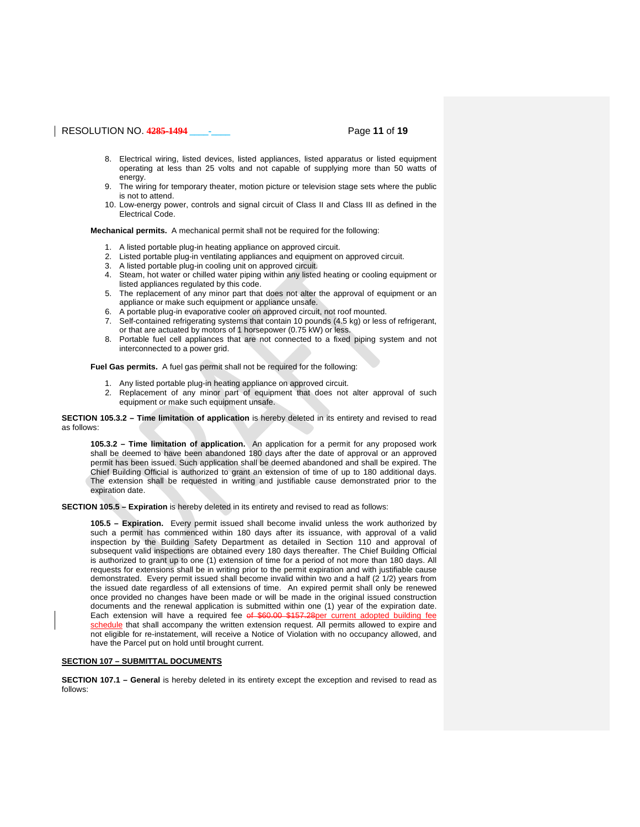## RESOLUTION NO. **4285-1494 \_\_\_\_-\_\_\_\_** Page **11** of **19**

- 8. Electrical wiring, listed devices, listed appliances, listed apparatus or listed equipment operating at less than 25 volts and not capable of supplying more than 50 watts of energy.
- 9. The wiring for temporary theater, motion picture or television stage sets where the public is not to attend.
- 10. Low-energy power, controls and signal circuit of Class II and Class III as defined in the Electrical Code.

**Mechanical permits.** A mechanical permit shall not be required for the following:

- 1. A listed portable plug-in heating appliance on approved circuit.
- 2. Listed portable plug-in ventilating appliances and equipment on approved circuit.
- 3. A listed portable plug-in cooling unit on approved circuit.
- 4. Steam, hot water or chilled water piping within any listed heating or cooling equipment or listed appliances regulated by this code.
- 5. The replacement of any minor part that does not alter the approval of equipment or an appliance or make such equipment or appliance unsafe.
- 6. A portable plug-in evaporative cooler on approved circuit, not roof mounted.
- 7. Self-contained refrigerating systems that contain 10 pounds (4.5 kg) or less of refrigerant, or that are actuated by motors of 1 horsepower (0.75 kW) or less.
- 8. Portable fuel cell appliances that are not connected to a fixed piping system and not interconnected to a power grid.

**Fuel Gas permits.** A fuel gas permit shall not be required for the following:

- 1. Any listed portable plug-in heating appliance on approved circuit.
- 2. Replacement of any minor part of equipment that does not alter approval of such equipment or make such equipment unsafe.

**SECTION 105.3.2 – Time limitation of application** is hereby deleted in its entirety and revised to read as follows:

**105.3.2 – Time limitation of application.** An application for a permit for any proposed work shall be deemed to have been abandoned 180 days after the date of approval or an approved permit has been issued. Such application shall be deemed abandoned and shall be expired. The Chief Building Official is authorized to grant an extension of time of up to 180 additional days. The extension shall be requested in writing and justifiable cause demonstrated prior to the expiration date.

**SECTION 105.5 – Expiration** is hereby deleted in its entirety and revised to read as follows:

**105.5 – Expiration.** Every permit issued shall become invalid unless the work authorized by such a permit has commenced within 180 days after its issuance, with approval of a valid inspection by the Building Safety Department as detailed in Section 110 and approval of subsequent valid inspections are obtained every 180 days thereafter. The Chief Building Official is authorized to grant up to one (1) extension of time for a period of not more than 180 days. All requests for extensions shall be in writing prior to the permit expiration and with justifiable cause demonstrated. Every permit issued shall become invalid within two and a half (2 1/2) years from the issued date regardless of all extensions of time. An expired permit shall only be renewed once provided no changes have been made or will be made in the original issued construction documents and the renewal application is submitted within one (1) year of the expiration date. Each extension will have a required fee of \$60.00 \$157.28per current adopted building fee schedule that shall accompany the written extension request. All permits allowed to expire and not eligible for re-instatement, will receive a Notice of Violation with no occupancy allowed, and have the Parcel put on hold until brought current.

### **SECTION 107 – SUBMITTAL DOCUMENTS**

**SECTION 107.1 – General** is hereby deleted in its entirety except the exception and revised to read as follows: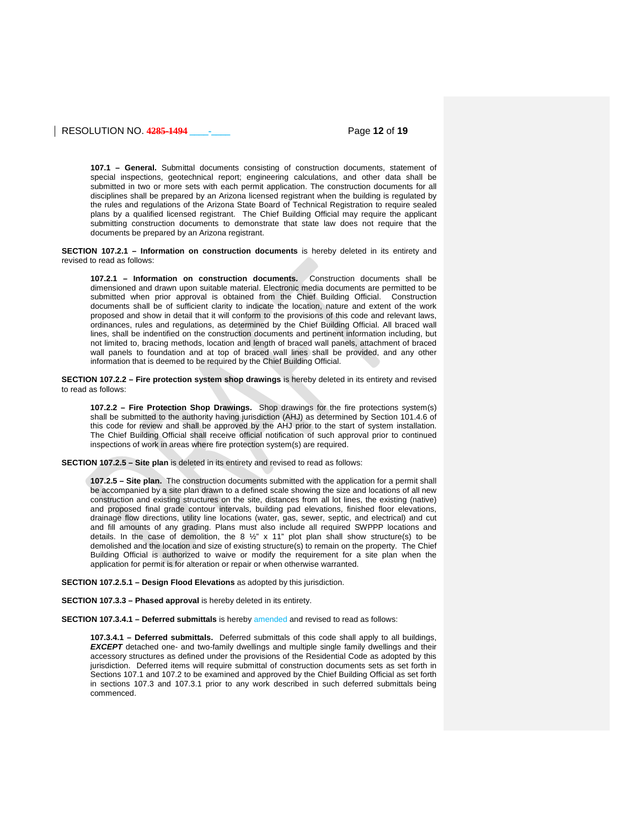## RESOLUTION NO. **4285-1494 \_\_\_\_-\_\_\_\_** Page **12** of **19**

**107.1 – General.** Submittal documents consisting of construction documents, statement of special inspections, geotechnical report; engineering calculations, and other data shall be submitted in two or more sets with each permit application. The construction documents for all disciplines shall be prepared by an Arizona licensed registrant when the building is regulated by the rules and regulations of the Arizona State Board of Technical Registration to require sealed plans by a qualified licensed registrant. The Chief Building Official may require the applicant submitting construction documents to demonstrate that state law does not require that the documents be prepared by an Arizona registrant.

**SECTION 107.2.1 – Information on construction documents** is hereby deleted in its entirety and revised to read as follows:

**107.2.1 – Information on construction documents.** Construction documents shall be dimensioned and drawn upon suitable material. Electronic media documents are permitted to be submitted when prior approval is obtained from the Chief Building Official. Construction documents shall be of sufficient clarity to indicate the location, nature and extent of the work proposed and show in detail that it will conform to the provisions of this code and relevant laws, ordinances, rules and regulations, as determined by the Chief Building Official. All braced wall lines, shall be indentified on the construction documents and pertinent information including, but not limited to, bracing methods, location and length of braced wall panels, attachment of braced wall panels to foundation and at top of braced wall lines shall be provided, and any other information that is deemed to be required by the Chief Building Official.

**SECTION 107.2.2 – Fire protection system shop drawings** is hereby deleted in its entirety and revised to read as follows:

**107.2.2 – Fire Protection Shop Drawings.** Shop drawings for the fire protections system(s) shall be submitted to the authority having jurisdiction (AHJ) as determined by Section 101.4.6 of this code for review and shall be approved by the AHJ prior to the start of system installation. The Chief Building Official shall receive official notification of such approval prior to continued inspections of work in areas where fire protection system(s) are required.

**SECTION 107.2.5 – Site plan** is deleted in its entirety and revised to read as follows:

**107.2.5 – Site plan.** The construction documents submitted with the application for a permit shall be accompanied by a site plan drawn to a defined scale showing the size and locations of all new construction and existing structures on the site, distances from all lot lines, the existing (native) and proposed final grade contour intervals, building pad elevations, finished floor elevations, drainage flow directions, utility line locations (water, gas, sewer, septic, and electrical) and cut and fill amounts of any grading. Plans must also include all required SWPPP locations and details. In the case of demolition, the 8  $\frac{1}{2}$ " x 11" plot plan shall show structure(s) to be demolished and the location and size of existing structure(s) to remain on the property. The Chief Building Official is authorized to waive or modify the requirement for a site plan when the application for permit is for alteration or repair or when otherwise warranted.

**SECTION 107.2.5.1 – Design Flood Elevations** as adopted by this jurisdiction.

**SECTION 107.3.3 – Phased approval** is hereby deleted in its entirety.

**SECTION 107.3.4.1 – Deferred submittals** is hereby amended and revised to read as follows:

**107.3.4.1 – Deferred submittals.** Deferred submittals of this code shall apply to all buildings, *EXCEPT* detached one- and two-family dwellings and multiple single family dwellings and their accessory structures as defined under the provisions of the Residential Code as adopted by this jurisdiction. Deferred items will require submittal of construction documents sets as set forth in Sections 107.1 and 107.2 to be examined and approved by the Chief Building Official as set forth in sections 107.3 and 107.3.1 prior to any work described in such deferred submittals being commenced.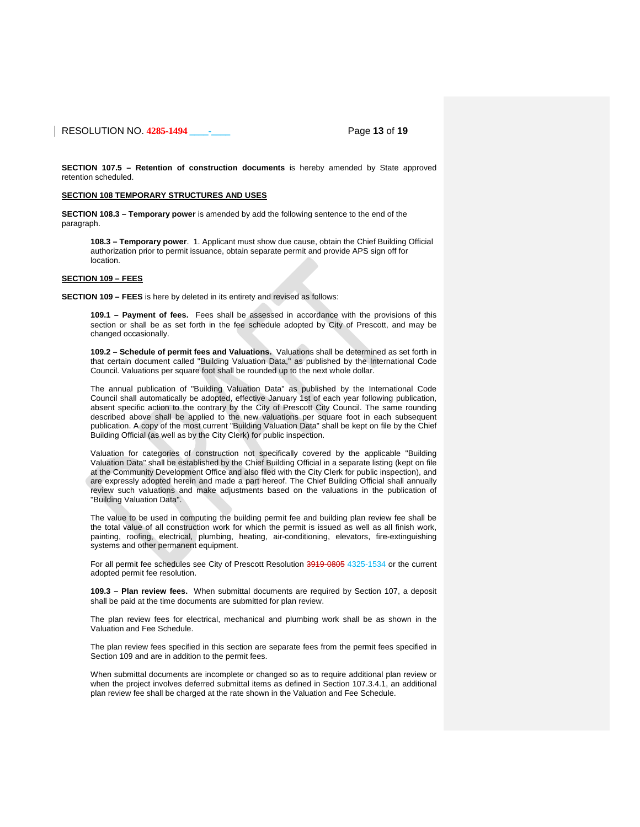RESOLUTION NO. **4285-1494 \_\_\_\_-\_\_\_\_** Page **13** of **19**

**SECTION 107.5 – Retention of construction documents** is hereby amended by State approved retention scheduled.

## **SECTION 108 TEMPORARY STRUCTURES AND USES**

**SECTION 108.3 – Temporary power** is amended by add the following sentence to the end of the paragraph.

**108.3 – Temporary power**. 1. Applicant must show due cause, obtain the Chief Building Official authorization prior to permit issuance, obtain separate permit and provide APS sign off for location.

## **SECTION 109 – FEES**

**SECTION 109 – FEES** is here by deleted in its entirety and revised as follows:

**109.1 – Payment of fees.** Fees shall be assessed in accordance with the provisions of this section or shall be as set forth in the fee schedule adopted by City of Prescott, and may be changed occasionally.

**109.2 – Schedule of permit fees and Valuations.** Valuations shall be determined as set forth in that certain document called "Building Valuation Data," as published by the International Code Council. Valuations per square foot shall be rounded up to the next whole dollar.

The annual publication of "Building Valuation Data" as published by the International Code Council shall automatically be adopted, effective January 1st of each year following publication, absent specific action to the contrary by the City of Prescott City Council. The same rounding described above shall be applied to the new valuations per square foot in each subsequent publication. A copy of the most current "Building Valuation Data" shall be kept on file by the Chief Building Official (as well as by the City Clerk) for public inspection.

Valuation for categories of construction not specifically covered by the applicable "Building Valuation Data" shall be established by the Chief Building Official in a separate listing (kept on file at the Community Development Office and also filed with the City Clerk for public inspection), and are expressly adopted herein and made a part hereof. The Chief Building Official shall annually review such valuations and make adjustments based on the valuations in the publication of "Building Valuation Data".

The value to be used in computing the building permit fee and building plan review fee shall be the total value of all construction work for which the permit is issued as well as all finish work, painting, roofing, electrical, plumbing, heating, air-conditioning, elevators, fire-extinguishing systems and other permanent equipment.

For all permit fee schedules see City of Prescott Resolution 3919-0805 4325-1534 or the current adopted permit fee resolution.

**109.3 – Plan review fees.** When submittal documents are required by Section 107, a deposit shall be paid at the time documents are submitted for plan review.

The plan review fees for electrical, mechanical and plumbing work shall be as shown in the Valuation and Fee Schedule.

The plan review fees specified in this section are separate fees from the permit fees specified in Section 109 and are in addition to the permit fees.

When submittal documents are incomplete or changed so as to require additional plan review or when the project involves deferred submittal items as defined in Section 107.3.4.1, an additional plan review fee shall be charged at the rate shown in the Valuation and Fee Schedule.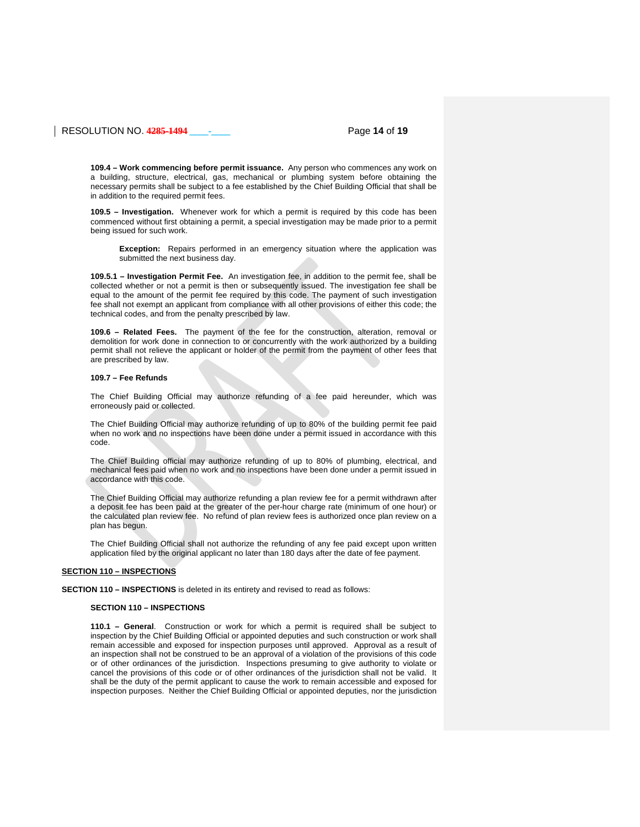## RESOLUTION NO. **4285-1494 \_\_\_\_-\_\_\_\_** Page **14** of **19**

**109.4 – Work commencing before permit issuance.** Any person who commences any work on a building, structure, electrical, gas, mechanical or plumbing system before obtaining the necessary permits shall be subject to a fee established by the Chief Building Official that shall be in addition to the required permit fees.

**109.5 – Investigation.** Whenever work for which a permit is required by this code has been commenced without first obtaining a permit, a special investigation may be made prior to a permit being issued for such work.

**Exception:** Repairs performed in an emergency situation where the application was submitted the next business day.

**109.5.1 – Investigation Permit Fee.** An investigation fee, in addition to the permit fee, shall be collected whether or not a permit is then or subsequently issued. The investigation fee shall be equal to the amount of the permit fee required by this code. The payment of such investigation fee shall not exempt an applicant from compliance with all other provisions of either this code; the technical codes, and from the penalty prescribed by law.

**109.6 – Related Fees.** The payment of the fee for the construction, alteration, removal or demolition for work done in connection to or concurrently with the work authorized by a building permit shall not relieve the applicant or holder of the permit from the payment of other fees that are prescribed by law.

### **109.7 – Fee Refunds**

The Chief Building Official may authorize refunding of a fee paid hereunder, which was erroneously paid or collected.

The Chief Building Official may authorize refunding of up to 80% of the building permit fee paid when no work and no inspections have been done under a permit issued in accordance with this code.

The Chief Building official may authorize refunding of up to 80% of plumbing, electrical, and mechanical fees paid when no work and no inspections have been done under a permit issued in accordance with this code.

The Chief Building Official may authorize refunding a plan review fee for a permit withdrawn after a deposit fee has been paid at the greater of the per-hour charge rate (minimum of one hour) or the calculated plan review fee. No refund of plan review fees is authorized once plan review on a plan has begun.

The Chief Building Official shall not authorize the refunding of any fee paid except upon written application filed by the original applicant no later than 180 days after the date of fee payment.

### **SECTION 110 – INSPECTIONS**

**SECTION 110 – INSPECTIONS** is deleted in its entirety and revised to read as follows:

### **SECTION 110 – INSPECTIONS**

**110.1 – General**. Construction or work for which a permit is required shall be subject to inspection by the Chief Building Official or appointed deputies and such construction or work shall remain accessible and exposed for inspection purposes until approved. Approval as a result of an inspection shall not be construed to be an approval of a violation of the provisions of this code or of other ordinances of the jurisdiction. Inspections presuming to give authority to violate or cancel the provisions of this code or of other ordinances of the jurisdiction shall not be valid. It shall be the duty of the permit applicant to cause the work to remain accessible and exposed for inspection purposes. Neither the Chief Building Official or appointed deputies, nor the jurisdiction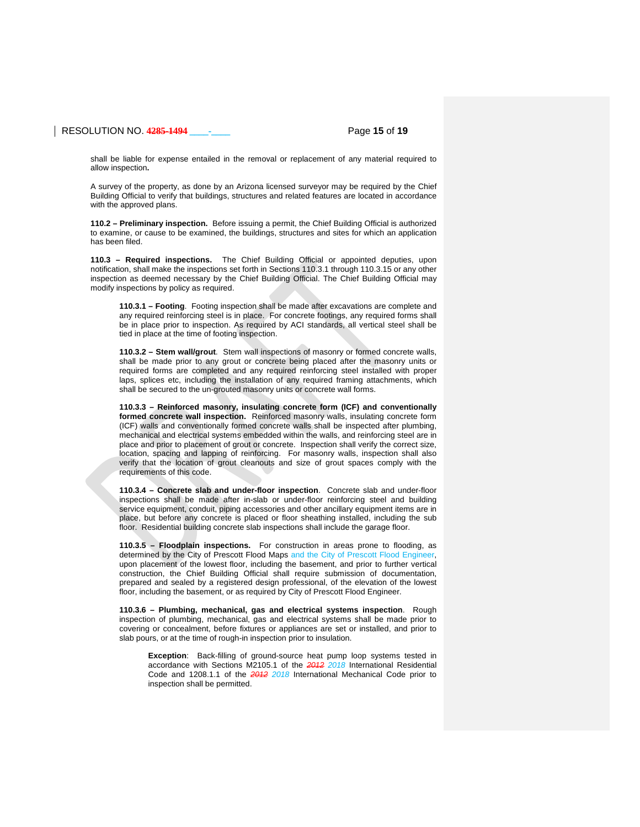## RESOLUTION NO. **4285-1494 \_\_\_\_-\_\_\_\_** Page **15** of **19**

shall be liable for expense entailed in the removal or replacement of any material required to allow inspection**.**

A survey of the property, as done by an Arizona licensed surveyor may be required by the Chief Building Official to verify that buildings, structures and related features are located in accordance with the approved plans.

**110.2 – Preliminary inspection.** Before issuing a permit, the Chief Building Official is authorized to examine, or cause to be examined, the buildings, structures and sites for which an application has been filed.

**110.3 – Required inspections.** The Chief Building Official or appointed deputies, upon notification, shall make the inspections set forth in Sections 110.3.1 through 110.3.15 or any other inspection as deemed necessary by the Chief Building Official. The Chief Building Official may modify inspections by policy as required.

**110.3.1 – Footing**. Footing inspection shall be made after excavations are complete and any required reinforcing steel is in place. For concrete footings, any required forms shall be in place prior to inspection. As required by ACI standards, all vertical steel shall be tied in place at the time of footing inspection.

**110.3.2 – Stem wall/grout**. Stem wall inspections of masonry or formed concrete walls, shall be made prior to any grout or concrete being placed after the masonry units or required forms are completed and any required reinforcing steel installed with proper laps, splices etc, including the installation of any required framing attachments, which shall be secured to the un-grouted masonry units or concrete wall forms.

**110.3.3 – Reinforced masonry, insulating concrete form (ICF) and conventionally formed concrete wall inspection.** Reinforced masonry walls, insulating concrete form (ICF) walls and conventionally formed concrete walls shall be inspected after plumbing, mechanical and electrical systems embedded within the walls, and reinforcing steel are in place and prior to placement of grout or concrete. Inspection shall verify the correct size, location, spacing and lapping of reinforcing. For masonry walls, inspection shall also verify that the location of grout cleanouts and size of grout spaces comply with the requirements of this code.

**110.3.4 – Concrete slab and under-floor inspection**. Concrete slab and under-floor inspections shall be made after in-slab or under-floor reinforcing steel and building service equipment, conduit, piping accessories and other ancillary equipment items are in place, but before any concrete is placed or floor sheathing installed, including the sub floor. Residential building concrete slab inspections shall include the garage floor.

**110.3.5 – Floodplain inspections.** For construction in areas prone to flooding, as determined by the City of Prescott Flood Maps and the City of Prescott Flood Engineer, upon placement of the lowest floor, including the basement, and prior to further vertical construction, the Chief Building Official shall require submission of documentation, prepared and sealed by a registered design professional, of the elevation of the lowest floor, including the basement, or as required by City of Prescott Flood Engineer.

**110.3.6 – Plumbing, mechanical, gas and electrical systems inspection**. Rough inspection of plumbing, mechanical, gas and electrical systems shall be made prior to covering or concealment, before fixtures or appliances are set or installed, and prior to slab pours, or at the time of rough-in inspection prior to insulation.

**Exception**: Back-filling of ground-source heat pump loop systems tested in accordance with Sections M2105.1 of the *2012 2018* International Residential Code and 1208.1.1 of the *2012 2018* International Mechanical Code prior to inspection shall be permitted.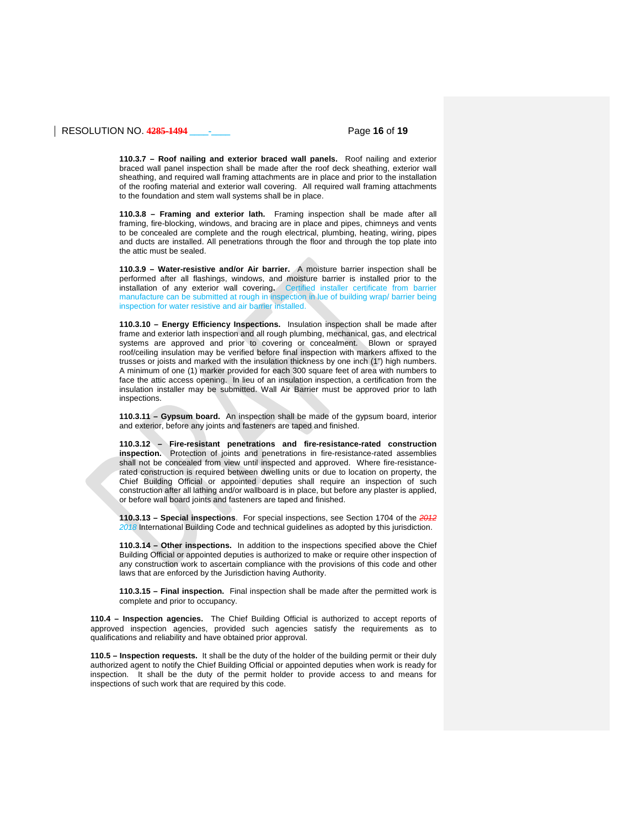## RESOLUTION NO. **4285-1494 \_\_\_\_-\_\_\_\_** Page **16** of **19**

**110.3.7 – Roof nailing and exterior braced wall panels.** Roof nailing and exterior braced wall panel inspection shall be made after the roof deck sheathing, exterior wall sheathing, and required wall framing attachments are in place and prior to the installation of the roofing material and exterior wall covering. All required wall framing attachments to the foundation and stem wall systems shall be in place.

**110.3.8 – Framing and exterior lath.** Framing inspection shall be made after all framing, fire-blocking, windows, and bracing are in place and pipes, chimneys and vents to be concealed are complete and the rough electrical, plumbing, heating, wiring, pipes and ducts are installed. All penetrations through the floor and through the top plate into the attic must be sealed.

**110.3.9 – Water-resistive and/or Air barrier.** A moisture barrier inspection shall be performed after all flashings, windows, and moisture barrier is installed prior to the installation of any exterior wall covering**.** Certified installer certificate from barrier manufacture can be submitted at rough in inspection in lue of building wrap/ barrier being inspection for water resistive and air barrier installed.

**110.3.10 – Energy Efficiency Inspections.** Insulation inspection shall be made after frame and exterior lath inspection and all rough plumbing, mechanical, gas, and electrical systems are approved and prior to covering or concealment. Blown or sprayed roof/ceiling insulation may be verified before final inspection with markers affixed to the trusses or joists and marked with the insulation thickness by one inch (1") high numbers. A minimum of one (1) marker provided for each 300 square feet of area with numbers to face the attic access opening. In lieu of an insulation inspection, a certification from the insulation installer may be submitted. Wall Air Barrier must be approved prior to lath inspections.

**110.3.11 – Gypsum board.** An inspection shall be made of the gypsum board, interior and exterior, before any joints and fasteners are taped and finished.

**110.3.12 – Fire-resistant penetrations and fire-resistance-rated construction inspection.** Protection of joints and penetrations in fire-resistance-rated assemblies shall not be concealed from view until inspected and approved. Where fire-resistancerated construction is required between dwelling units or due to location on property, the Chief Building Official or appointed deputies shall require an inspection of such construction after all lathing and/or wallboard is in place, but before any plaster is applied, or before wall board joints and fasteners are taped and finished.

**110.3.13 – Special inspections**. For special inspections, see Section 1704 of the *2012 2018* International Building Code and technical guidelines as adopted by this jurisdiction.

**110.3.14 – Other inspections.** In addition to the inspections specified above the Chief Building Official or appointed deputies is authorized to make or require other inspection of any construction work to ascertain compliance with the provisions of this code and other laws that are enforced by the Jurisdiction having Authority.

**110.3.15 – Final inspection.** Final inspection shall be made after the permitted work is complete and prior to occupancy.

**110.4 – Inspection agencies.** The Chief Building Official is authorized to accept reports of approved inspection agencies, provided such agencies satisfy the requirements as to qualifications and reliability and have obtained prior approval.

**110.5 – Inspection requests.** It shall be the duty of the holder of the building permit or their duly authorized agent to notify the Chief Building Official or appointed deputies when work is ready for inspection. It shall be the duty of the permit holder to provide access to and means for inspections of such work that are required by this code.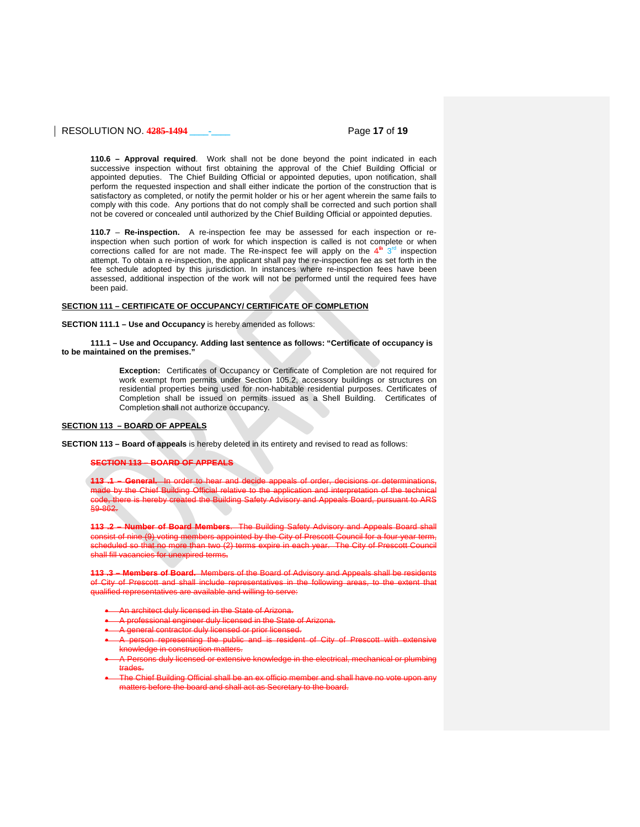## RESOLUTION NO. **4285-1494 \_\_\_\_-\_\_\_\_** Page **17** of **19**

**110.6 – Approval required**. Work shall not be done beyond the point indicated in each successive inspection without first obtaining the approval of the Chief Building Official or appointed deputies. The Chief Building Official or appointed deputies, upon notification, shall perform the requested inspection and shall either indicate the portion of the construction that is satisfactory as completed, or notify the permit holder or his or her agent wherein the same fails to comply with this code. Any portions that do not comply shall be corrected and such portion shall not be covered or concealed until authorized by the Chief Building Official or appointed deputies.

**110.7** – **Re-inspection.** A re-inspection fee may be assessed for each inspection or reinspection when such portion of work for which inspection is called is not complete or when corrections called for are not made. The Re-inspect fee will apply on the  $4<sup>th</sup> 3<sup>rd</sup>$  inspection attempt. To obtain a re-inspection, the applicant shall pay the re-inspection fee as set forth in the fee schedule adopted by this jurisdiction. In instances where re-inspection fees have been assessed, additional inspection of the work will not be performed until the required fees have been paid.

## **SECTION 111 – CERTIFICATE OF OCCUPANCY/ CERTIFICATE OF COMPLETION**

**SECTION 111.1 – Use and Occupancy** is hereby amended as follows:

### **111.1 – Use and Occupancy. Adding last sentence as follows: "Certificate of occupancy is to be maintained on the premises."**

**Exception:** Certificates of Occupancy or Certificate of Completion are not required for work exempt from permits under Section 105.2, accessory buildings or structures on residential properties being used for non-habitable residential purposes. Certificates of Completion shall be issued on permits issued as a Shell Building. Certificates of Completion shall not authorize occupancy.

## **SECTION 113 – BOARD OF APPEALS**

**SECTION 113 – Board of appeals** is hereby deleted in its entirety and revised to read as follows:

### **SECTION 113 – BOARD OF APPEALS**

**113 .1 – General.** In order to hear and decide appeals of order, decisions or determinations, made by the Chief Building Official relative to the application and interpretation of the technical there is hereby created the Building Safety Advisory and Appeals Board, pursuant to ARS §9-862.

**Number of Board Members.** The Building Safety Advisory and of nine (9) voting members appointed by the City of Prescott Council for a four-<br>led so that no more than two (2) terms expire in each year. The City of Presc scheduled so that no more than two  $(2)$  terms expire in shall fill vacancies for unexpired terms**.**

**113 .3 – Members of Board.** Members of the Board of Advisory and Appeals shall be residents City of Prescott and shall include representatives in the multimed representative are available and willing to serve:

- An architect duly licensed in the State of Arizona.
- $\epsilon$  licensed in the State
- A general contractor duly licensed or prior licensed.
- A person representing the public and is resident of City of Prescott with extensive knowledge in construction matters.
- <sub>the duly licensed or extensive knowledge in the electrical, mechanical or plumbing</sub> trades.
- The Chief Building Official shall be an ex officio member and shall have no vote upon matters before the board and shall act as Secretary to the board.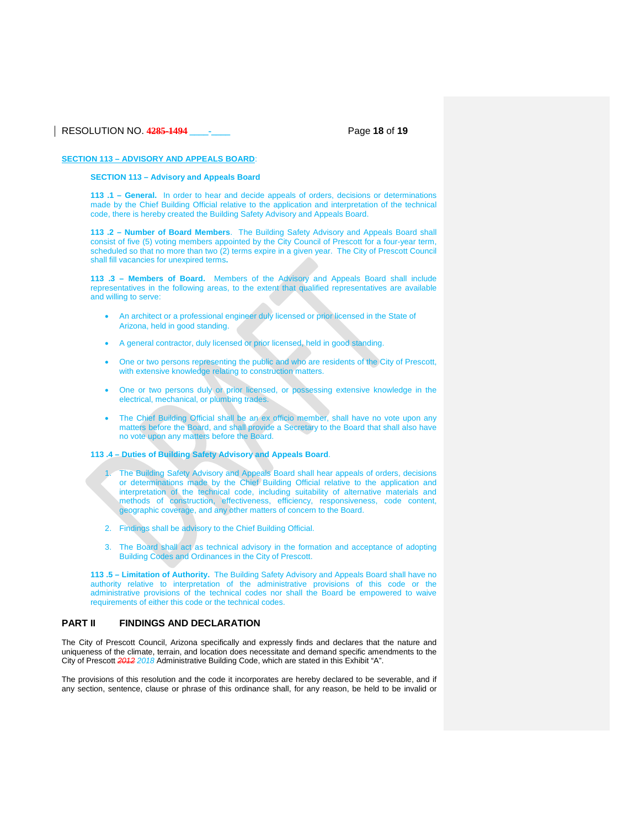## RESOLUTION NO. **4285-1494 \_\_\_\_-\_\_\_\_** Page **18** of **19**

## **SECTION 113 – ADVISORY AND APPEALS BOARD**:

## **SECTION 113 – Advisory and Appeals Board**

**113 .1 – General.** In order to hear and decide appeals of orders, decisions or determinations made by the Chief Building Official relative to the application and interpretation of the technical code, there is hereby created the Building Safety Advisory and Appeals Board.

**113 .2 – Number of Board Members**. The Building Safety Advisory and Appeals Board shall consist of five (5) voting members appointed by the City Council of Prescott for a four-year term, scheduled so that no more than two (2) terms expire in a given year. The City of Prescott Council shall fill vacancies for unexpired terms**.**

**113 .3 – Members of Board.** Members of the Advisory and Appeals Board shall include representatives in the following areas, to the extent that qualified representatives are available and willing to serve:

- An architect or a professional engineer duly licensed or prior licensed in the State of Arizona, held in good standing.
- A general contractor, duly licensed or prior licensed, held in good standing.
- One or two persons representing the public and who are residents of the City of Prescott, with extensive knowledge relating to construction matters.
- One or two persons duly or prior licensed, or possessing extensive knowledge in the electrical, mechanical, or plumbing trades.
- The Chief Building Official shall be an ex officio member, shall have no vote upon any matters before the Board, and shall provide a Secretary to the Board that shall also have no vote upon any matters before the Board.
- **113 .4 – Duties of Building Safety Advisory and Appeals Board**.
	- The Building Safety Advisory and Appeals Board shall hear appeals of orders, decisions or determinations made by the Chief Building Official relative to the application and interpretation of the technical code, including suitability of alternative materials and methods of construction, effectiveness, efficiency, responsiveness, code content, geographic coverage, and any other matters of concern to the Board.
	- 2. Findings shall be advisory to the Chief Building Official.
	- 3. The Board shall act as technical advisory in the formation and acceptance of adopting Building Codes and Ordinances in the City of Prescott.

**113 .5 – Limitation of Authority.** The Building Safety Advisory and Appeals Board shall have no authority relative to interpretation of the administrative provisions of this code or the administrative provisions of the technical codes nor shall the Board be empowered to waive requirements of either this code or the technical codes.

### **PART II FINDINGS AND DECLARATION**

The City of Prescott Council, Arizona specifically and expressly finds and declares that the nature and uniqueness of the climate, terrain, and location does necessitate and demand specific amendments to the City of Prescott *2012 2018* Administrative Building Code, which are stated in this Exhibit "A".

The provisions of this resolution and the code it incorporates are hereby declared to be severable, and if any section, sentence, clause or phrase of this ordinance shall, for any reason, be held to be invalid or